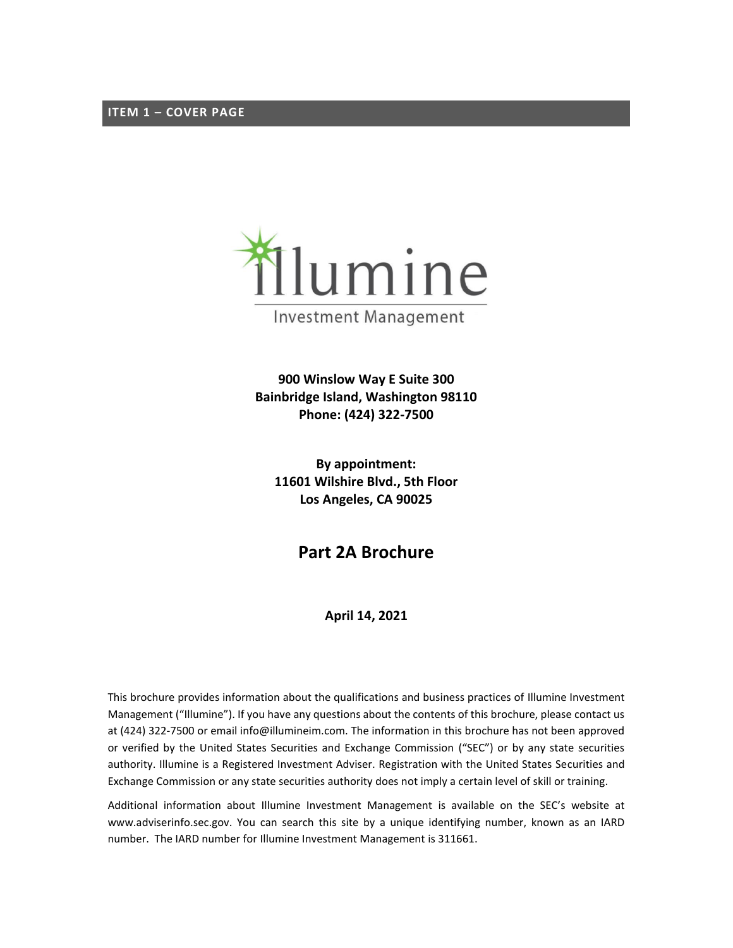<span id="page-0-0"></span>

**900 Winslow Way E Suite 300 Bainbridge Island, Washington 98110 Phone: (424) 322-7500**

**By appointment: 11601 Wilshire Blvd., 5th Floor Los Angeles, CA 90025**

**Part 2A Brochure**

**April 14, 2021**

This brochure provides information about the qualifications and business practices of Illumine Investment Management ("Illumine"). If you have any questions about the contents of this brochure, please contact us at (424) 322-7500 or email info@illumineim.com. The information in this brochure has not been approved or verified by the United States Securities and Exchange Commission ("SEC") or by any state securities authority. Illumine is a Registered Investment Adviser. Registration with the United States Securities and Exchange Commission or any state securities authority does not imply a certain level of skill or training.

Additional information about Illumine Investment Management is available on the SEC's website at www.adviserinfo.sec.gov. You can search this site by a unique identifying number, known as an IARD number. The IARD number for Illumine Investment Management is 311661.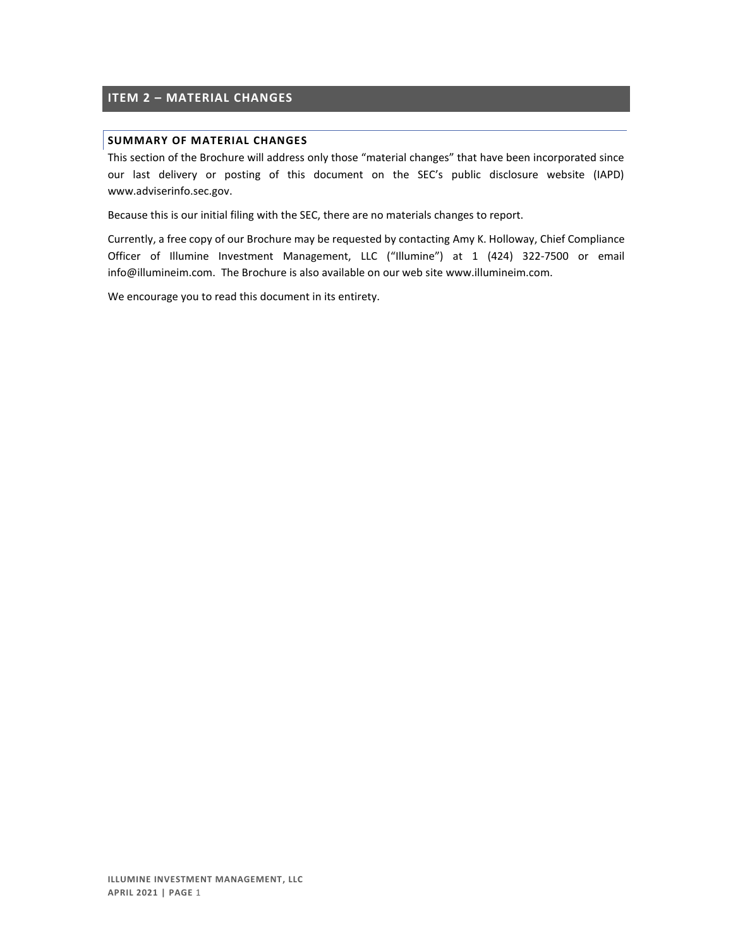## <span id="page-1-0"></span>**ITEM 2 – MATERIAL CHANGES**

## **SUMMARY OF MATERIAL CHANGES**

This section of the Brochure will address only those "material changes" that have been incorporated since our last delivery or posting of this document on the SEC's public disclosure website (IAPD) [www.adviserinfo.sec.gov.](http://www.adviserinfo.sec.gov/)

Because this is our initial filing with the SEC, there are no materials changes to report.

Currently, a free copy of our Brochure may be requested by contacting Amy K. Holloway, Chief Compliance Officer of Illumine Investment Management, LLC ("Illumine") at 1 (424) 322-7500 or email info@illumineim.com. The Brochure is also available on our web site www.illumineim.com.

We encourage you to read this document in its entirety.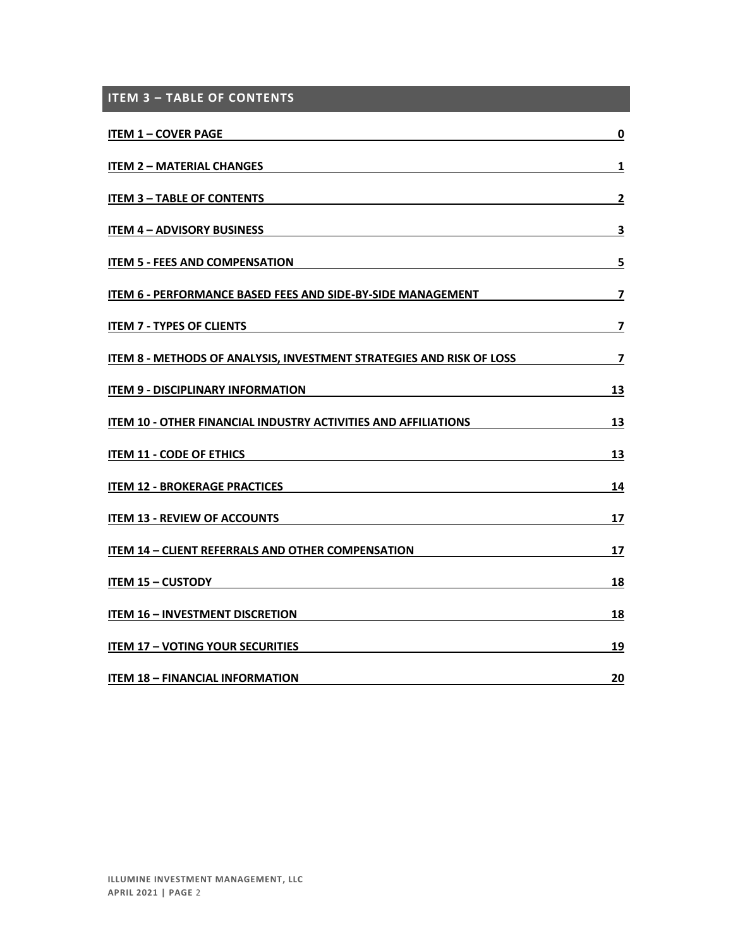<span id="page-2-0"></span>

| <b>ITEM 3 - TABLE OF CONTENTS</b>                                                                                                                             |                         |
|---------------------------------------------------------------------------------------------------------------------------------------------------------------|-------------------------|
| <b>ITEM 1 - COVER PAGE</b>                                                                                                                                    | 0                       |
| <b>ITEM 2 - MATERIAL CHANGES</b>                                                                                                                              | 1                       |
| <b>ITEM 3 - TABLE OF CONTENTS</b>                                                                                                                             | $\mathbf{2}$            |
| <b>ITEM 4 - ADVISORY BUSINESS</b>                                                                                                                             | $\overline{\mathbf{3}}$ |
| <b>ITEM 5 - FEES AND COMPENSATION</b><br><u> 1989 - Johann Stoff, Amerikaansk politiker († 1908)</u>                                                          | 5                       |
| ITEM 6 - PERFORMANCE BASED FEES AND SIDE-BY-SIDE MANAGEMENT                                                                                                   | 7                       |
| <b>ITEM 7 - TYPES OF CLIENTS</b>                                                                                                                              | 7                       |
| ITEM 8 - METHODS OF ANALYSIS, INVESTMENT STRATEGIES AND RISK OF LOSS                                                                                          | $\overline{\mathbf{z}}$ |
| <b>ITEM 9 - DISCIPLINARY INFORMATION</b>                                                                                                                      | 13                      |
| ITEM 10 - OTHER FINANCIAL INDUSTRY ACTIVITIES AND AFFILIATIONS                                                                                                | 13                      |
| <b>ITEM 11 - CODE OF ETHICS</b>                                                                                                                               | 13                      |
| <b>ITEM 12 - BROKERAGE PRACTICES</b><br><u> 1989 - Johann Barn, mars ann an t-Amhain an t-Amhain an t-Amhain an t-Amhain an t-Amhain an t-Amhain an t-Amh</u> | 14                      |
| <b>ITEM 13 - REVIEW OF ACCOUNTS</b>                                                                                                                           | 17                      |
| <b>ITEM 14 - CLIENT REFERRALS AND OTHER COMPENSATION</b>                                                                                                      | 17                      |
| <b>ITEM 15 - CUSTODY</b><br><u> 1989 - Johann Stein, fransk politik (d. 1989)</u>                                                                             | 18                      |
| <b>ITEM 16 - INVESTMENT DISCRETION</b>                                                                                                                        | 18                      |
| <b>ITEM 17 - VOTING YOUR SECURITIES</b>                                                                                                                       | 19                      |
| <b>ITEM 18 - FINANCIAL INFORMATION</b>                                                                                                                        | 20                      |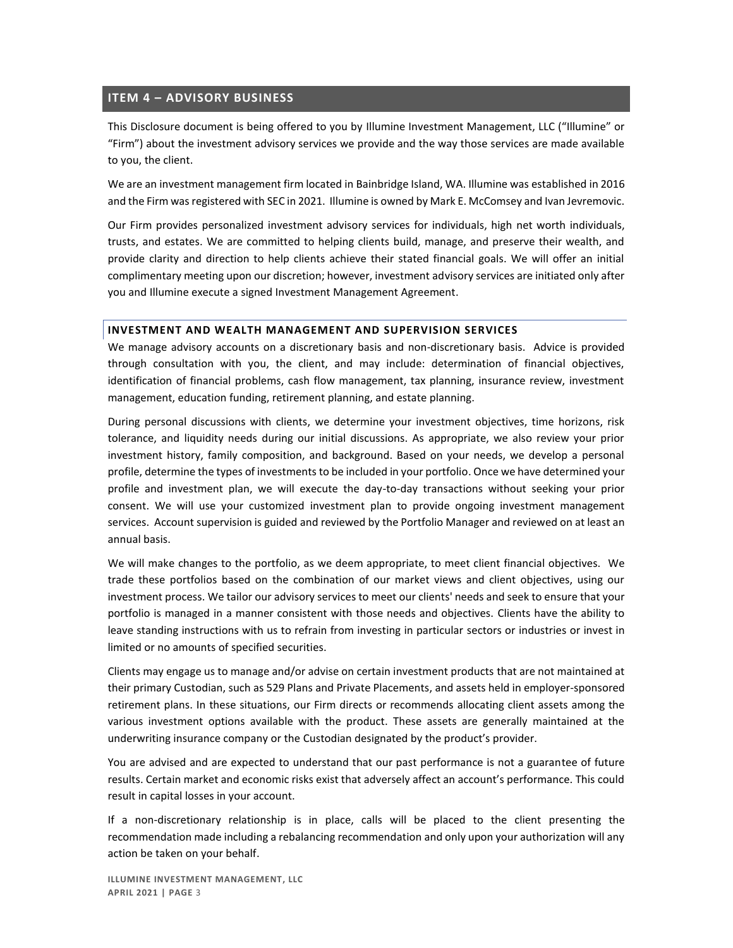## <span id="page-3-0"></span>**ITEM 4 – ADVISORY BUSINESS**

This Disclosure document is being offered to you by Illumine Investment Management, LLC ("Illumine" or "Firm") about the investment advisory services we provide and the way those services are made available to you, the client.

We are an investment management firm located in Bainbridge Island, WA. Illumine was established in 2016 and the Firm was registered with SEC in 2021. Illumine is owned by Mark E. McComsey and Ivan Jevremovic.

Our Firm provides personalized investment advisory services for individuals, high net worth individuals, trusts, and estates. We are committed to helping clients build, manage, and preserve their wealth, and provide clarity and direction to help clients achieve their stated financial goals. We will offer an initial complimentary meeting upon our discretion; however, investment advisory services are initiated only after you and Illumine execute a signed Investment Management Agreement.

### **INVESTMENT AND WEALTH MANAGEMENT AND SUPERVISION SERVICES**

We manage advisory accounts on a discretionary basis and non-discretionary basis. Advice is provided through consultation with you, the client, and may include: determination of financial objectives, identification of financial problems, cash flow management, tax planning, insurance review, investment management, education funding, retirement planning, and estate planning.

During personal discussions with clients, we determine your investment objectives, time horizons, risk tolerance, and liquidity needs during our initial discussions. As appropriate, we also review your prior investment history, family composition, and background. Based on your needs, we develop a personal profile, determine the types of investments to be included in your portfolio. Once we have determined your profile and investment plan, we will execute the day-to-day transactions without seeking your prior consent. We will use your customized investment plan to provide ongoing investment management services. Account supervision is guided and reviewed by the Portfolio Manager and reviewed on at least an annual basis.

We will make changes to the portfolio, as we deem appropriate, to meet client financial objectives. We trade these portfolios based on the combination of our market views and client objectives, using our investment process. We tailor our advisory services to meet our clients' needs and seek to ensure that your portfolio is managed in a manner consistent with those needs and objectives. Clients have the ability to leave standing instructions with us to refrain from investing in particular sectors or industries or invest in limited or no amounts of specified securities.

Clients may engage us to manage and/or advise on certain investment products that are not maintained at their primary Custodian, such as 529 Plans and Private Placements, and assets held in employer-sponsored retirement plans. In these situations, our Firm directs or recommends allocating client assets among the various investment options available with the product. These assets are generally maintained at the underwriting insurance company or the Custodian designated by the product's provider.

You are advised and are expected to understand that our past performance is not a guarantee of future results. Certain market and economic risks exist that adversely affect an account's performance. This could result in capital losses in your account.

If a non-discretionary relationship is in place, calls will be placed to the client presenting the recommendation made including a rebalancing recommendation and only upon your authorization will any action be taken on your behalf.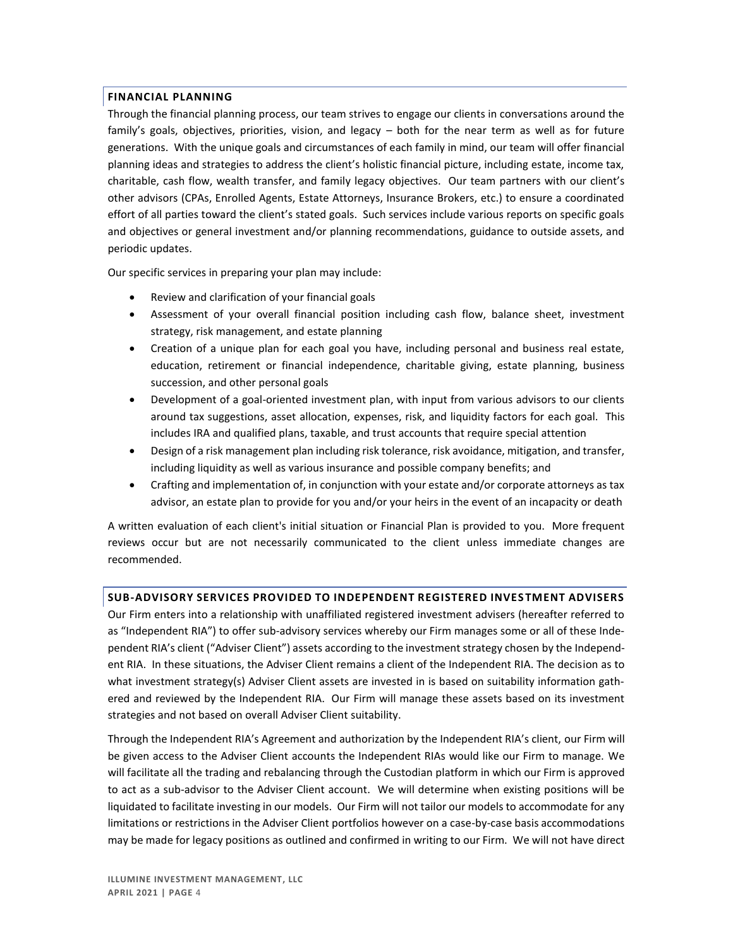## **FINANCIAL PLANNING**

Through the financial planning process, our team strives to engage our clients in conversations around the family's goals, objectives, priorities, vision, and legacy – both for the near term as well as for future generations. With the unique goals and circumstances of each family in mind, our team will offer financial planning ideas and strategies to address the client's holistic financial picture, including estate, income tax, charitable, cash flow, wealth transfer, and family legacy objectives. Our team partners with our client's other advisors (CPAs, Enrolled Agents, Estate Attorneys, Insurance Brokers, etc.) to ensure a coordinated effort of all parties toward the client's stated goals. Such services include various reports on specific goals and objectives or general investment and/or planning recommendations, guidance to outside assets, and periodic updates.

Our specific services in preparing your plan may include:

- Review and clarification of your financial goals
- Assessment of your overall financial position including cash flow, balance sheet, investment strategy, risk management, and estate planning
- Creation of a unique plan for each goal you have, including personal and business real estate, education, retirement or financial independence, charitable giving, estate planning, business succession, and other personal goals
- Development of a goal-oriented investment plan, with input from various advisors to our clients around tax suggestions, asset allocation, expenses, risk, and liquidity factors for each goal. This includes IRA and qualified plans, taxable, and trust accounts that require special attention
- Design of a risk management plan including risk tolerance, risk avoidance, mitigation, and transfer, including liquidity as well as various insurance and possible company benefits; and
- Crafting and implementation of, in conjunction with your estate and/or corporate attorneys as tax advisor, an estate plan to provide for you and/or your heirs in the event of an incapacity or death

A written evaluation of each client's initial situation or Financial Plan is provided to you. More frequent reviews occur but are not necessarily communicated to the client unless immediate changes are recommended.

### **SUB-ADVISORY SERVICES PROVIDED TO INDEPENDENT REGISTERED INVESTMENT ADVISERS**

Our Firm enters into a relationship with unaffiliated registered investment advisers (hereafter referred to as "Independent RIA") to offer sub-advisory services whereby our Firm manages some or all of these Independent RIA's client ("Adviser Client") assets according to the investment strategy chosen by the Independent RIA. In these situations, the Adviser Client remains a client of the Independent RIA. The decision as to what investment strategy(s) Adviser Client assets are invested in is based on suitability information gathered and reviewed by the Independent RIA. Our Firm will manage these assets based on its investment strategies and not based on overall Adviser Client suitability.

Through the Independent RIA's Agreement and authorization by the Independent RIA's client, our Firm will be given access to the Adviser Client accounts the Independent RIAs would like our Firm to manage. We will facilitate all the trading and rebalancing through the Custodian platform in which our Firm is approved to act as a sub-advisor to the Adviser Client account. We will determine when existing positions will be liquidated to facilitate investing in our models. Our Firm will not tailor our models to accommodate for any limitations or restrictions in the Adviser Client portfolios however on a case-by-case basis accommodations may be made for legacy positions as outlined and confirmed in writing to our Firm. We will not have direct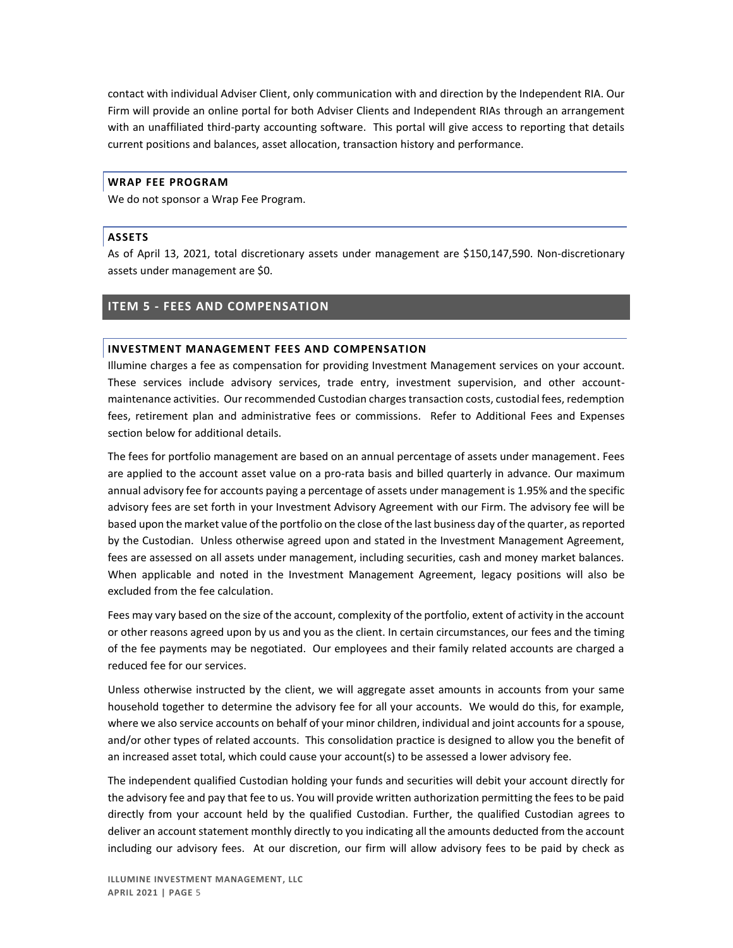contact with individual Adviser Client, only communication with and direction by the Independent RIA. Our Firm will provide an online portal for both Adviser Clients and Independent RIAs through an arrangement with an unaffiliated third-party accounting software. This portal will give access to reporting that details current positions and balances, asset allocation, transaction history and performance.

#### **WRAP FEE PROGRAM**

We do not sponsor a Wrap Fee Program.

#### **ASSETS**

As of April 13, 2021, total discretionary assets under management are \$150,147,590. Non-discretionary assets under management are \$0.

### <span id="page-5-0"></span>**ITEM 5 - FEES AND COMPENSATION**

#### **INVESTMENT MANAGEMENT FEES AND COMPENSATION**

Illumine charges a fee as compensation for providing Investment Management services on your account. These services include advisory services, trade entry, investment supervision, and other accountmaintenance activities. Our recommended Custodian charges transaction costs, custodial fees, redemption fees, retirement plan and administrative fees or commissions. Refer to Additional Fees and Expenses section below for additional details.

The fees for portfolio management are based on an annual percentage of assets under management. Fees are applied to the account asset value on a pro-rata basis and billed quarterly in advance. Our maximum annual advisory fee for accounts paying a percentage of assets under management is 1.95% and the specific advisory fees are set forth in your Investment Advisory Agreement with our Firm. The advisory fee will be based upon the market value of the portfolio on the close of the last business day of the quarter, as reported by the Custodian. Unless otherwise agreed upon and stated in the Investment Management Agreement, fees are assessed on all assets under management, including securities, cash and money market balances. When applicable and noted in the Investment Management Agreement, legacy positions will also be excluded from the fee calculation.

Fees may vary based on the size of the account, complexity of the portfolio, extent of activity in the account or other reasons agreed upon by us and you as the client. In certain circumstances, our fees and the timing of the fee payments may be negotiated. Our employees and their family related accounts are charged a reduced fee for our services.

Unless otherwise instructed by the client, we will aggregate asset amounts in accounts from your same household together to determine the advisory fee for all your accounts. We would do this, for example, where we also service accounts on behalf of your minor children, individual and joint accounts for a spouse, and/or other types of related accounts. This consolidation practice is designed to allow you the benefit of an increased asset total, which could cause your account(s) to be assessed a lower advisory fee.

The independent qualified Custodian holding your funds and securities will debit your account directly for the advisory fee and pay that fee to us. You will provide written authorization permitting the fees to be paid directly from your account held by the qualified Custodian. Further, the qualified Custodian agrees to deliver an account statement monthly directly to you indicating all the amounts deducted from the account including our advisory fees. At our discretion, our firm will allow advisory fees to be paid by check as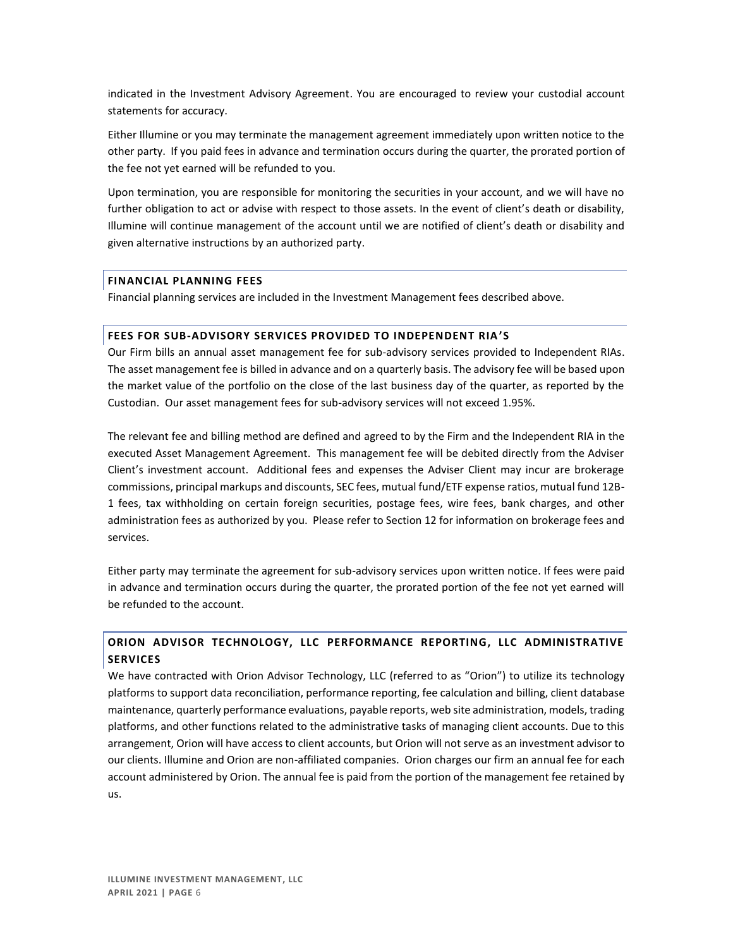indicated in the Investment Advisory Agreement. You are encouraged to review your custodial account statements for accuracy.

Either Illumine or you may terminate the management agreement immediately upon written notice to the other party. If you paid fees in advance and termination occurs during the quarter, the prorated portion of the fee not yet earned will be refunded to you.

Upon termination, you are responsible for monitoring the securities in your account, and we will have no further obligation to act or advise with respect to those assets. In the event of client's death or disability, Illumine will continue management of the account until we are notified of client's death or disability and given alternative instructions by an authorized party.

### **FINANCIAL PLANNING FEES**

Financial planning services are included in the Investment Management fees described above.

### **FEES FOR SUB-ADVISORY SERVICES PROVIDED TO INDEPENDENT RIA'S**

Our Firm bills an annual asset management fee for sub-advisory services provided to Independent RIAs. The asset management fee is billed in advance and on a quarterly basis. The advisory fee will be based upon the market value of the portfolio on the close of the last business day of the quarter, as reported by the Custodian. Our asset management fees for sub-advisory services will not exceed 1.95%.

The relevant fee and billing method are defined and agreed to by the Firm and the Independent RIA in the executed Asset Management Agreement. This management fee will be debited directly from the Adviser Client's investment account. Additional fees and expenses the Adviser Client may incur are brokerage commissions, principal markups and discounts, SEC fees, mutual fund/ETF expense ratios, mutual fund 12B-1 fees, tax withholding on certain foreign securities, postage fees, wire fees, bank charges, and other administration fees as authorized by you. Please refer to Section 12 for information on brokerage fees and services.

Either party may terminate the agreement for sub-advisory services upon written notice. If fees were paid in advance and termination occurs during the quarter, the prorated portion of the fee not yet earned will be refunded to the account.

## **ORION ADVISOR TECHNOLOGY, LLC PERFORMANCE REPORTING, LLC ADMINISTRATIVE SERVICES**

We have contracted with Orion Advisor Technology, LLC (referred to as "Orion") to utilize its technology platforms to support data reconciliation, performance reporting, fee calculation and billing, client database maintenance, quarterly performance evaluations, payable reports, web site administration, models, trading platforms, and other functions related to the administrative tasks of managing client accounts. Due to this arrangement, Orion will have access to client accounts, but Orion will not serve as an investment advisor to our clients. Illumine and Orion are non-affiliated companies. Orion charges our firm an annual fee for each account administered by Orion. The annual fee is paid from the portion of the management fee retained by us.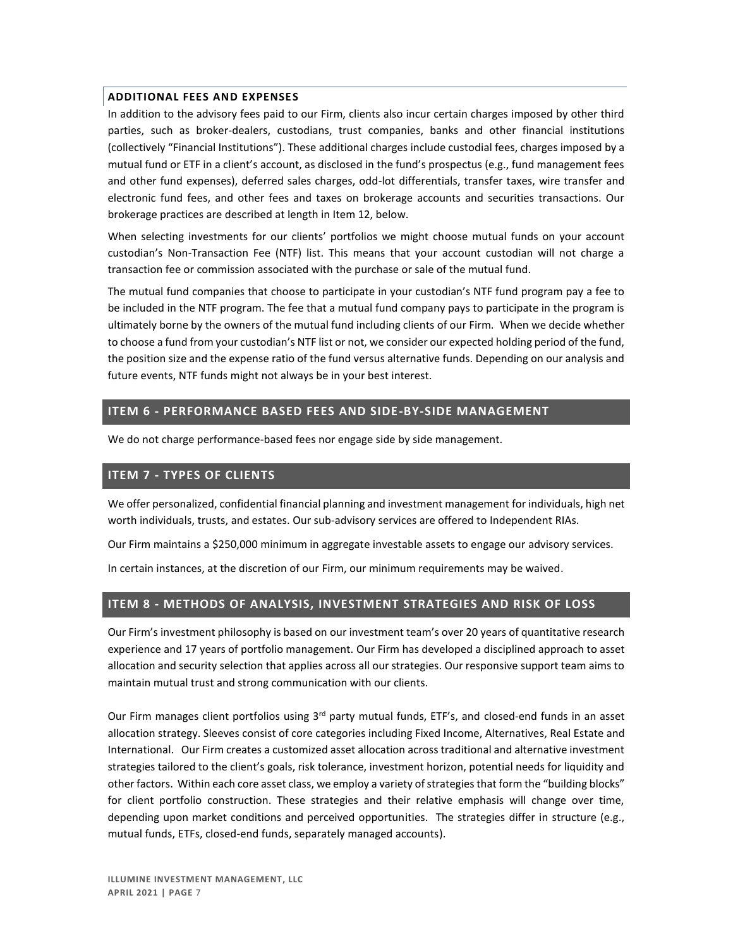### **ADDITIONAL FEES AND EXPENSES**

In addition to the advisory fees paid to our Firm, clients also incur certain charges imposed by other third parties, such as broker-dealers, custodians, trust companies, banks and other financial institutions (collectively "Financial Institutions"). These additional charges include custodial fees, charges imposed by a mutual fund or ETF in a client's account, as disclosed in the fund's prospectus (e.g., fund management fees and other fund expenses), deferred sales charges, odd-lot differentials, transfer taxes, wire transfer and electronic fund fees, and other fees and taxes on brokerage accounts and securities transactions. Our brokerage practices are described at length in Item 12, below.

When selecting investments for our clients' portfolios we might choose mutual funds on your account custodian's Non-Transaction Fee (NTF) list. This means that your account custodian will not charge a transaction fee or commission associated with the purchase or sale of the mutual fund.

The mutual fund companies that choose to participate in your custodian's NTF fund program pay a fee to be included in the NTF program. The fee that a mutual fund company pays to participate in the program is ultimately borne by the owners of the mutual fund including clients of our Firm. When we decide whether to choose a fund from your custodian's NTF list or not, we consider our expected holding period of the fund, the position size and the expense ratio of the fund versus alternative funds. Depending on our analysis and future events, NTF funds might not always be in your best interest.

## <span id="page-7-0"></span>**ITEM 6 - PERFORMANCE BASED FEES AND SIDE-BY-SIDE MANAGEMENT**

We do not charge performance-based fees nor engage side by side management.

## <span id="page-7-1"></span>**ITEM 7 - TYPES OF CLIENTS**

We offer personalized, confidential financial planning and investment management for individuals, high net worth individuals, trusts, and estates. Our sub-advisory services are offered to Independent RIAs.

Our Firm maintains a \$250,000 minimum in aggregate investable assets to engage our advisory services.

In certain instances, at the discretion of our Firm, our minimum requirements may be waived.

## <span id="page-7-2"></span>**ITEM 8 - METHODS OF ANALYSIS, INVESTMENT STRATEGIES AND RISK OF LOSS**

Our Firm's investment philosophy is based on our investment team's over 20 years of quantitative research experience and 17 years of portfolio management. Our Firm has developed a disciplined approach to asset allocation and security selection that applies across all our strategies. Our responsive support team aims to maintain mutual trust and strong communication with our clients.

Our Firm manages client portfolios using 3<sup>rd</sup> party mutual funds, ETF's, and closed-end funds in an asset allocation strategy. Sleeves consist of core categories including Fixed Income, Alternatives, Real Estate and International. Our Firm creates a customized asset allocation across traditional and alternative investment strategies tailored to the client's goals, risk tolerance, investment horizon, potential needs for liquidity and other factors. Within each core asset class, we employ a variety of strategies that form the "building blocks" for client portfolio construction. These strategies and their relative emphasis will change over time, depending upon market conditions and perceived opportunities. The strategies differ in structure (e.g., mutual funds, ETFs, closed-end funds, separately managed accounts).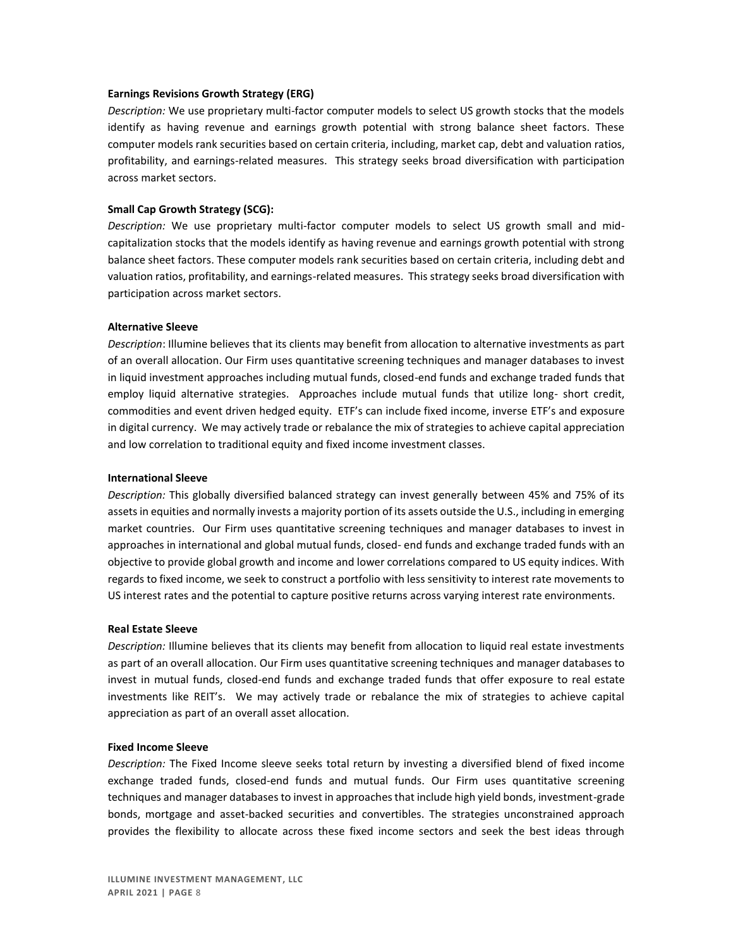#### **Earnings Revisions Growth Strategy (ERG)**

*Description:* We use proprietary multi-factor computer models to select US growth stocks that the models identify as having revenue and earnings growth potential with strong balance sheet factors. These computer models rank securities based on certain criteria, including, market cap, debt and valuation ratios, profitability, and earnings-related measures. This strategy seeks broad diversification with participation across market sectors.

#### **Small Cap Growth Strategy (SCG):**

*Description:* We use proprietary multi-factor computer models to select US growth small and midcapitalization stocks that the models identify as having revenue and earnings growth potential with strong balance sheet factors. These computer models rank securities based on certain criteria, including debt and valuation ratios, profitability, and earnings-related measures. This strategy seeks broad diversification with participation across market sectors.

#### **Alternative Sleeve**

*Description*: Illumine believes that its clients may benefit from allocation to alternative investments as part of an overall allocation. Our Firm uses quantitative screening techniques and manager databases to invest in liquid investment approaches including mutual funds, closed-end funds and exchange traded funds that employ liquid alternative strategies. Approaches include mutual funds that utilize long- short credit, commodities and event driven hedged equity. ETF's can include fixed income, inverse ETF's and exposure in digital currency. We may actively trade or rebalance the mix of strategies to achieve capital appreciation and low correlation to traditional equity and fixed income investment classes.

#### **International Sleeve**

*Description:* This globally diversified balanced strategy can invest generally between 45% and 75% of its assets in equities and normally invests a majority portion of its assets outside the U.S., including in emerging market countries. Our Firm uses quantitative screening techniques and manager databases to invest in approaches in international and global mutual funds, closed- end funds and exchange traded funds with an objective to provide global growth and income and lower correlations compared to US equity indices. With regards to fixed income, we seek to construct a portfolio with less sensitivity to interest rate movements to US interest rates and the potential to capture positive returns across varying interest rate environments.

#### **Real Estate Sleeve**

*Description:* Illumine believes that its clients may benefit from allocation to liquid real estate investments as part of an overall allocation. Our Firm uses quantitative screening techniques and manager databases to invest in mutual funds, closed-end funds and exchange traded funds that offer exposure to real estate investments like REIT's. We may actively trade or rebalance the mix of strategies to achieve capital appreciation as part of an overall asset allocation.

#### **Fixed Income Sleeve**

*Description:* The Fixed Income sleeve seeks total return by investing a diversified blend of fixed income exchange traded funds, closed-end funds and mutual funds. Our Firm uses quantitative screening techniques and manager databases to invest in approaches that include high yield bonds, investment-grade bonds, mortgage and asset-backed securities and convertibles. The strategies unconstrained approach provides the flexibility to allocate across these fixed income sectors and seek the best ideas through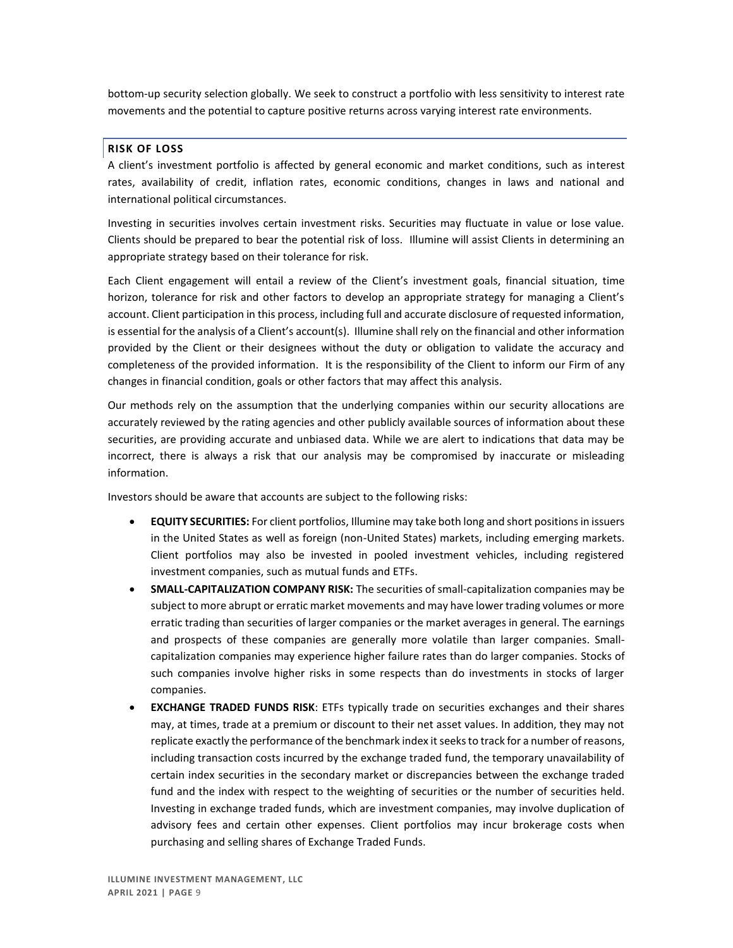bottom-up security selection globally. We seek to construct a portfolio with less sensitivity to interest rate movements and the potential to capture positive returns across varying interest rate environments.

### **RISK OF LOSS**

A client's investment portfolio is affected by general economic and market conditions, such as interest rates, availability of credit, inflation rates, economic conditions, changes in laws and national and international political circumstances.

Investing in securities involves certain investment risks. Securities may fluctuate in value or lose value. Clients should be prepared to bear the potential risk of loss. Illumine will assist Clients in determining an appropriate strategy based on their tolerance for risk.

Each Client engagement will entail a review of the Client's investment goals, financial situation, time horizon, tolerance for risk and other factors to develop an appropriate strategy for managing a Client's account. Client participation in this process, including full and accurate disclosure of requested information, is essential for the analysis of a Client's account(s). Illumine shall rely on the financial and other information provided by the Client or their designees without the duty or obligation to validate the accuracy and completeness of the provided information. It is the responsibility of the Client to inform our Firm of any changes in financial condition, goals or other factors that may affect this analysis.

Our methods rely on the assumption that the underlying companies within our security allocations are accurately reviewed by the rating agencies and other publicly available sources of information about these securities, are providing accurate and unbiased data. While we are alert to indications that data may be incorrect, there is always a risk that our analysis may be compromised by inaccurate or misleading information.

Investors should be aware that accounts are subject to the following risks:

- **EQUITY SECURITIES:** For client portfolios, Illumine may take both long and short positions in issuers in the United States as well as foreign (non-United States) markets, including emerging markets. Client portfolios may also be invested in pooled investment vehicles, including registered investment companies, such as mutual funds and ETFs.
- **SMALL-CAPITALIZATION COMPANY RISK:** The securities of small-capitalization companies may be subject to more abrupt or erratic market movements and may have lower trading volumes or more erratic trading than securities of larger companies or the market averages in general. The earnings and prospects of these companies are generally more volatile than larger companies. Smallcapitalization companies may experience higher failure rates than do larger companies. Stocks of such companies involve higher risks in some respects than do investments in stocks of larger companies.
- **EXCHANGE TRADED FUNDS RISK:** ETFs typically trade on securities exchanges and their shares may, at times, trade at a premium or discount to their net asset values. In addition, they may not replicate exactly the performance of the benchmark index it seeks to track for a number of reasons, including transaction costs incurred by the exchange traded fund, the temporary unavailability of certain index securities in the secondary market or discrepancies between the exchange traded fund and the index with respect to the weighting of securities or the number of securities held. Investing in exchange traded funds, which are investment companies, may involve duplication of advisory fees and certain other expenses. Client portfolios may incur brokerage costs when purchasing and selling shares of Exchange Traded Funds.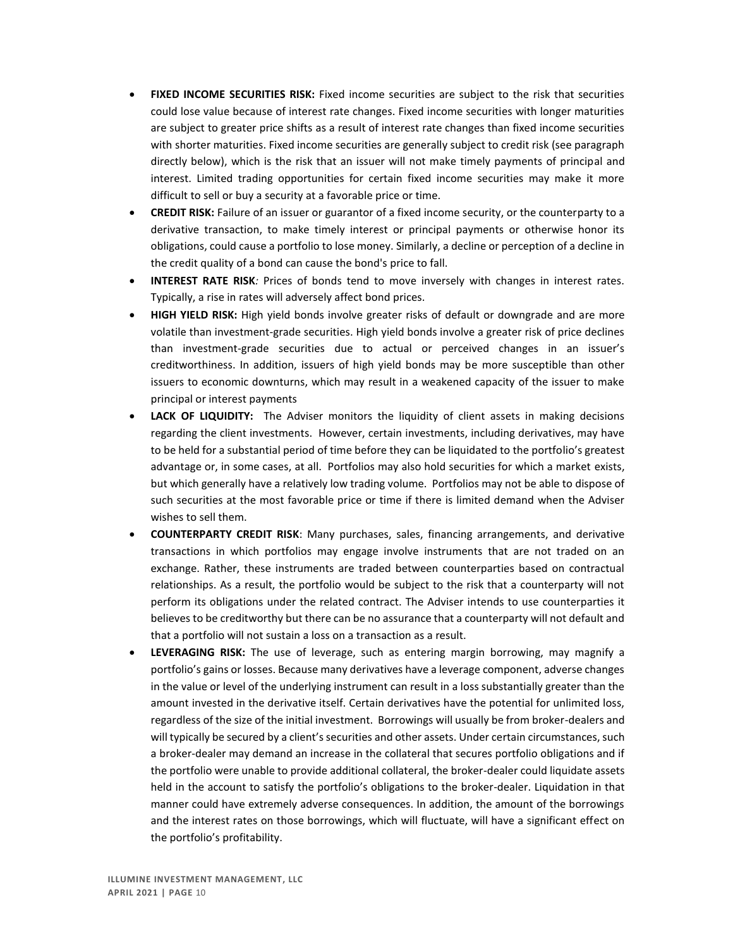- **FIXED INCOME SECURITIES RISK:** Fixed income securities are subject to the risk that securities could lose value because of interest rate changes. Fixed income securities with longer maturities are subject to greater price shifts as a result of interest rate changes than fixed income securities with shorter maturities. Fixed income securities are generally subject to credit risk (see paragraph directly below), which is the risk that an issuer will not make timely payments of principal and interest. Limited trading opportunities for certain fixed income securities may make it more difficult to sell or buy a security at a favorable price or time.
- **CREDIT RISK:** Failure of an issuer or guarantor of a fixed income security, or the counterparty to a derivative transaction, to make timely interest or principal payments or otherwise honor its obligations, could cause a portfolio to lose money. Similarly, a decline or perception of a decline in the credit quality of a bond can cause the bond's price to fall.
- **INTEREST RATE RISK***:* Prices of bonds tend to move inversely with changes in interest rates. Typically, a rise in rates will adversely affect bond prices.
- **HIGH YIELD RISK:** High yield bonds involve greater risks of default or downgrade and are more volatile than investment-grade securities. High yield bonds involve a greater risk of price declines than investment-grade securities due to actual or perceived changes in an issuer's creditworthiness. In addition, issuers of high yield bonds may be more susceptible than other issuers to economic downturns, which may result in a weakened capacity of the issuer to make principal or interest payments
- **LACK OF LIQUIDITY:** The Adviser monitors the liquidity of client assets in making decisions regarding the client investments. However, certain investments, including derivatives, may have to be held for a substantial period of time before they can be liquidated to the portfolio's greatest advantage or, in some cases, at all. Portfolios may also hold securities for which a market exists, but which generally have a relatively low trading volume. Portfolios may not be able to dispose of such securities at the most favorable price or time if there is limited demand when the Adviser wishes to sell them.
- **COUNTERPARTY CREDIT RISK**: Many purchases, sales, financing arrangements, and derivative transactions in which portfolios may engage involve instruments that are not traded on an exchange. Rather, these instruments are traded between counterparties based on contractual relationships. As a result, the portfolio would be subject to the risk that a counterparty will not perform its obligations under the related contract. The Adviser intends to use counterparties it believes to be creditworthy but there can be no assurance that a counterparty will not default and that a portfolio will not sustain a loss on a transaction as a result.
- **LEVERAGING RISK:** The use of leverage, such as entering margin borrowing, may magnify a portfolio's gains or losses. Because many derivatives have a leverage component, adverse changes in the value or level of the underlying instrument can result in a loss substantially greater than the amount invested in the derivative itself. Certain derivatives have the potential for unlimited loss, regardless of the size of the initial investment. Borrowings will usually be from broker-dealers and will typically be secured by a client's securities and other assets. Under certain circumstances, such a broker-dealer may demand an increase in the collateral that secures portfolio obligations and if the portfolio were unable to provide additional collateral, the broker-dealer could liquidate assets held in the account to satisfy the portfolio's obligations to the broker-dealer. Liquidation in that manner could have extremely adverse consequences. In addition, the amount of the borrowings and the interest rates on those borrowings, which will fluctuate, will have a significant effect on the portfolio's profitability.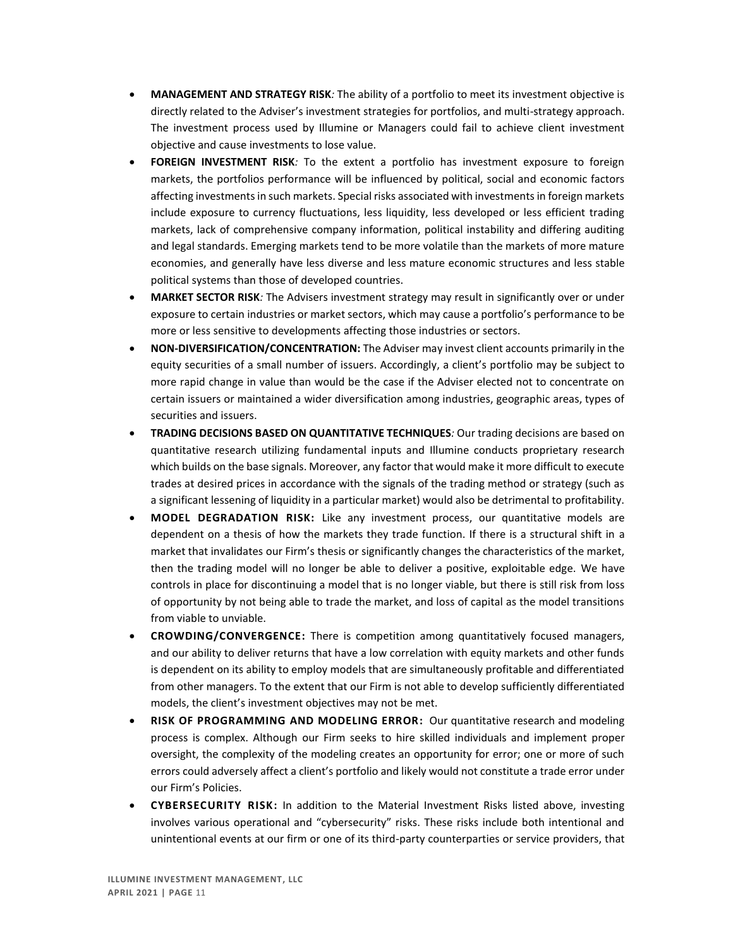- **MANAGEMENT AND STRATEGY RISK***:* The ability of a portfolio to meet its investment objective is directly related to the Adviser's investment strategies for portfolios, and multi-strategy approach. The investment process used by Illumine or Managers could fail to achieve client investment objective and cause investments to lose value.
- **FOREIGN INVESTMENT RISK***:* To the extent a portfolio has investment exposure to foreign markets, the portfolios performance will be influenced by political, social and economic factors affecting investments in such markets. Special risks associated with investments in foreign markets include exposure to currency fluctuations, less liquidity, less developed or less efficient trading markets, lack of comprehensive company information, political instability and differing auditing and legal standards. Emerging markets tend to be more volatile than the markets of more mature economies, and generally have less diverse and less mature economic structures and less stable political systems than those of developed countries.
- **MARKET SECTOR RISK***:* The Advisers investment strategy may result in significantly over or under exposure to certain industries or market sectors, which may cause a portfolio's performance to be more or less sensitive to developments affecting those industries or sectors.
- **NON-DIVERSIFICATION/CONCENTRATION:** The Adviser may invest client accounts primarily in the equity securities of a small number of issuers. Accordingly, a client's portfolio may be subject to more rapid change in value than would be the case if the Adviser elected not to concentrate on certain issuers or maintained a wider diversification among industries, geographic areas, types of securities and issuers.
- **TRADING DECISIONS BASED ON QUANTITATIVE TECHNIQUES***:* Our trading decisions are based on quantitative research utilizing fundamental inputs and Illumine conducts proprietary research which builds on the base signals. Moreover, any factor that would make it more difficult to execute trades at desired prices in accordance with the signals of the trading method or strategy (such as a significant lessening of liquidity in a particular market) would also be detrimental to profitability.
- **MODEL DEGRADATION RISK:** Like any investment process, our quantitative models are dependent on a thesis of how the markets they trade function. If there is a structural shift in a market that invalidates our Firm's thesis or significantly changes the characteristics of the market, then the trading model will no longer be able to deliver a positive, exploitable edge. We have controls in place for discontinuing a model that is no longer viable, but there is still risk from loss of opportunity by not being able to trade the market, and loss of capital as the model transitions from viable to unviable.
- **CROWDING/CONVERGENCE:** There is competition among quantitatively focused managers, and our ability to deliver returns that have a low correlation with equity markets and other funds is dependent on its ability to employ models that are simultaneously profitable and differentiated from other managers. To the extent that our Firm is not able to develop sufficiently differentiated models, the client's investment objectives may not be met.
- **RISK OF PROGRAMMING AND MODELING ERROR:**Our quantitative research and modeling process is complex. Although our Firm seeks to hire skilled individuals and implement proper oversight, the complexity of the modeling creates an opportunity for error; one or more of such errors could adversely affect a client's portfolio and likely would not constitute a trade error under our Firm's Policies.
- **CYBERSECURITY RISK:** In addition to the Material Investment Risks listed above, investing involves various operational and "cybersecurity" risks. These risks include both intentional and unintentional events at our firm or one of its third-party counterparties or service providers, that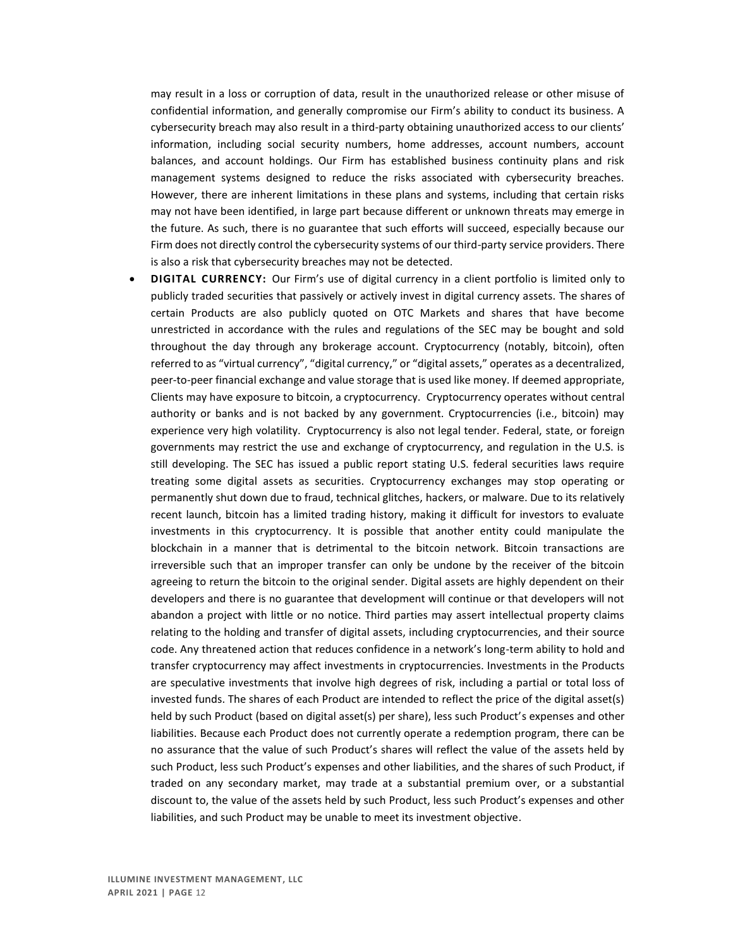may result in a loss or corruption of data, result in the unauthorized release or other misuse of confidential information, and generally compromise our Firm's ability to conduct its business. A cybersecurity breach may also result in a third-party obtaining unauthorized access to our clients' information, including social security numbers, home addresses, account numbers, account balances, and account holdings. Our Firm has established business continuity plans and risk management systems designed to reduce the risks associated with cybersecurity breaches. However, there are inherent limitations in these plans and systems, including that certain risks may not have been identified, in large part because different or unknown threats may emerge in the future. As such, there is no guarantee that such efforts will succeed, especially because our Firm does not directly control the cybersecurity systems of our third-party service providers. There is also a risk that cybersecurity breaches may not be detected.

• **DIGITAL CURRENCY:** Our Firm's use of digital currency in a client portfolio is limited only to publicly traded securities that passively or actively invest in digital currency assets. The shares of certain Products are also publicly quoted on OTC Markets and shares that have become unrestricted in accordance with the rules and regulations of the SEC may be bought and sold throughout the day through any brokerage account. Cryptocurrency (notably, bitcoin), often referred to as "virtual currency", "digital currency," or "digital assets," operates as a decentralized, peer-to-peer financial exchange and value storage that is used like money. If deemed appropriate, Clients may have exposure to bitcoin, a cryptocurrency. Cryptocurrency operates without central authority or banks and is not backed by any government. Cryptocurrencies (i.e., bitcoin) may experience very high volatility. Cryptocurrency is also not legal tender. Federal, state, or foreign governments may restrict the use and exchange of cryptocurrency, and regulation in the U.S. is still developing. The SEC has issued a public report stating U.S. federal securities laws require treating some digital assets as securities. Cryptocurrency exchanges may stop operating or permanently shut down due to fraud, technical glitches, hackers, or malware. Due to its relatively recent launch, bitcoin has a limited trading history, making it difficult for investors to evaluate investments in this cryptocurrency. It is possible that another entity could manipulate the blockchain in a manner that is detrimental to the bitcoin network. Bitcoin transactions are irreversible such that an improper transfer can only be undone by the receiver of the bitcoin agreeing to return the bitcoin to the original sender. Digital assets are highly dependent on their developers and there is no guarantee that development will continue or that developers will not abandon a project with little or no notice. Third parties may assert intellectual property claims relating to the holding and transfer of digital assets, including cryptocurrencies, and their source code. Any threatened action that reduces confidence in a network's long-term ability to hold and transfer cryptocurrency may affect investments in cryptocurrencies. Investments in the Products are speculative investments that involve high degrees of risk, including a partial or total loss of invested funds. The shares of each Product are intended to reflect the price of the digital asset(s) held by such Product (based on digital asset(s) per share), less such Product's expenses and other liabilities. Because each Product does not currently operate a redemption program, there can be no assurance that the value of such Product's shares will reflect the value of the assets held by such Product, less such Product's expenses and other liabilities, and the shares of such Product, if traded on any secondary market, may trade at a substantial premium over, or a substantial discount to, the value of the assets held by such Product, less such Product's expenses and other liabilities, and such Product may be unable to meet its investment objective.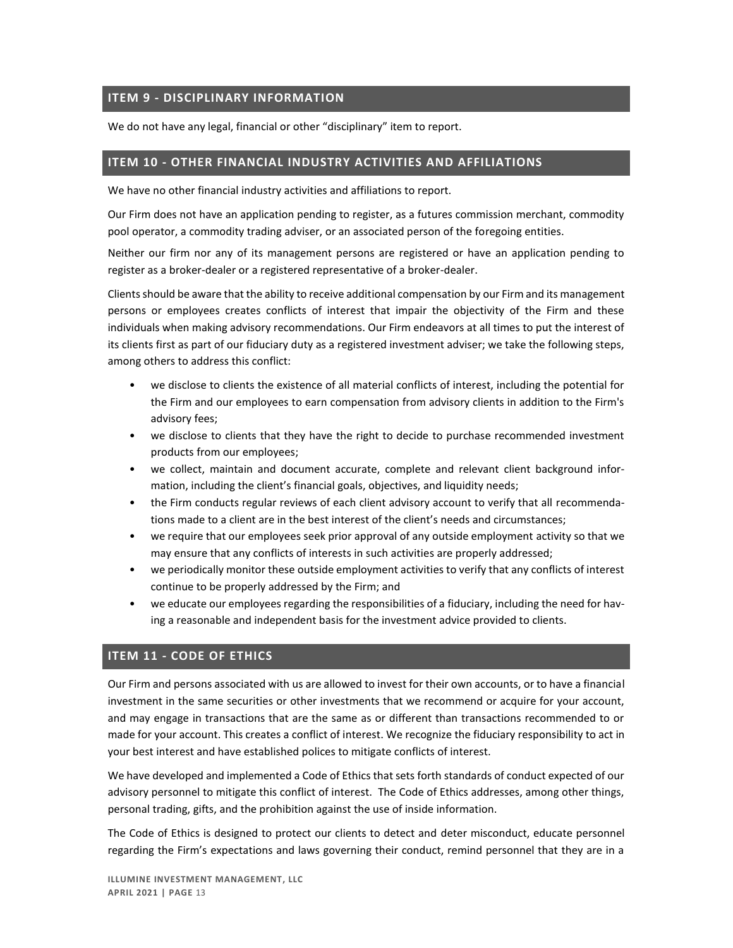## <span id="page-13-0"></span>**ITEM 9 - DISCIPLINARY INFORMATION**

We do not have any legal, financial or other "disciplinary" item to report.

## <span id="page-13-1"></span>**ITEM 10 - OTHER FINANCIAL INDUSTRY ACTIVITIES AND AFFILIATIONS**

We have no other financial industry activities and affiliations to report.

Our Firm does not have an application pending to register, as a futures commission merchant, commodity pool operator, a commodity trading adviser, or an associated person of the foregoing entities.

Neither our firm nor any of its management persons are registered or have an application pending to register as a broker-dealer or a registered representative of a broker-dealer.

Clients should be aware that the ability to receive additional compensation by our Firm and its management persons or employees creates conflicts of interest that impair the objectivity of the Firm and these individuals when making advisory recommendations. Our Firm endeavors at all times to put the interest of its clients first as part of our fiduciary duty as a registered investment adviser; we take the following steps, among others to address this conflict:

- we disclose to clients the existence of all material conflicts of interest, including the potential for the Firm and our employees to earn compensation from advisory clients in addition to the Firm's advisory fees;
- we disclose to clients that they have the right to decide to purchase recommended investment products from our employees;
- we collect, maintain and document accurate, complete and relevant client background information, including the client's financial goals, objectives, and liquidity needs;
- the Firm conducts regular reviews of each client advisory account to verify that all recommendations made to a client are in the best interest of the client's needs and circumstances;
- we require that our employees seek prior approval of any outside employment activity so that we may ensure that any conflicts of interests in such activities are properly addressed;
- we periodically monitor these outside employment activities to verify that any conflicts of interest continue to be properly addressed by the Firm; and
- we educate our employees regarding the responsibilities of a fiduciary, including the need for having a reasonable and independent basis for the investment advice provided to clients.

## <span id="page-13-2"></span>**ITEM 11 - CODE OF ETHICS**

Our Firm and persons associated with us are allowed to invest for their own accounts, or to have a financial investment in the same securities or other investments that we recommend or acquire for your account, and may engage in transactions that are the same as or different than transactions recommended to or made for your account. This creates a conflict of interest. We recognize the fiduciary responsibility to act in your best interest and have established polices to mitigate conflicts of interest.

We have developed and implemented a Code of Ethics that sets forth standards of conduct expected of our advisory personnel to mitigate this conflict of interest. The Code of Ethics addresses, among other things, personal trading, gifts, and the prohibition against the use of inside information.

The Code of Ethics is designed to protect our clients to detect and deter misconduct, educate personnel regarding the Firm's expectations and laws governing their conduct, remind personnel that they are in a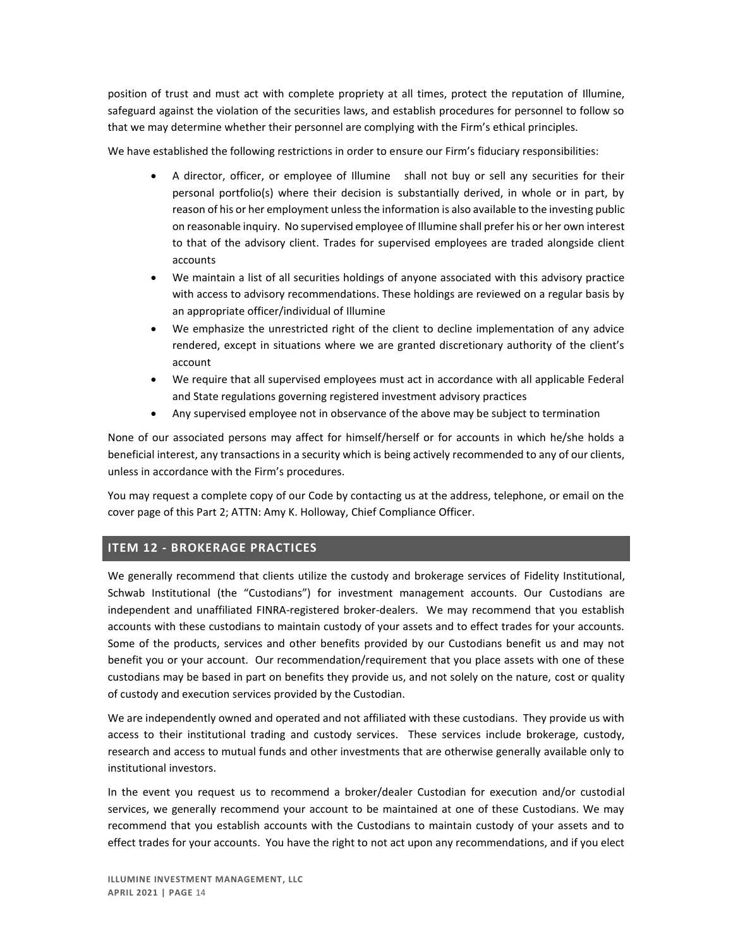position of trust and must act with complete propriety at all times, protect the reputation of Illumine, safeguard against the violation of the securities laws, and establish procedures for personnel to follow so that we may determine whether their personnel are complying with the Firm's ethical principles.

We have established the following restrictions in order to ensure our Firm's fiduciary responsibilities:

- A director, officer, or employee of Illumine shall not buy or sell any securities for their personal portfolio(s) where their decision is substantially derived, in whole or in part, by reason of his or her employment unless the information is also available to the investing public on reasonable inquiry. No supervised employee of Illumine shall prefer his or her own interest to that of the advisory client. Trades for supervised employees are traded alongside client accounts
- We maintain a list of all securities holdings of anyone associated with this advisory practice with access to advisory recommendations. These holdings are reviewed on a regular basis by an appropriate officer/individual of Illumine
- We emphasize the unrestricted right of the client to decline implementation of any advice rendered, except in situations where we are granted discretionary authority of the client's account
- We require that all supervised employees must act in accordance with all applicable Federal and State regulations governing registered investment advisory practices
- Any supervised employee not in observance of the above may be subject to termination

None of our associated persons may affect for himself/herself or for accounts in which he/she holds a beneficial interest, any transactions in a security which is being actively recommended to any of our clients, unless in accordance with the Firm's procedures.

You may request a complete copy of our Code by contacting us at the address, telephone, or email on the cover page of this Part 2; ATTN: Amy K. Holloway, Chief Compliance Officer.

# <span id="page-14-0"></span>**ITEM 12 - BROKERAGE PRACTICES**

We generally recommend that clients utilize the custody and brokerage services of Fidelity Institutional, Schwab Institutional (the "Custodians") for investment management accounts. Our Custodians are independent and unaffiliated FINRA-registered broker-dealers. We may recommend that you establish accounts with these custodians to maintain custody of your assets and to effect trades for your accounts. Some of the products, services and other benefits provided by our Custodians benefit us and may not benefit you or your account. Our recommendation/requirement that you place assets with one of these custodians may be based in part on benefits they provide us, and not solely on the nature, cost or quality of custody and execution services provided by the Custodian.

We are independently owned and operated and not affiliated with these custodians. They provide us with access to their institutional trading and custody services. These services include brokerage, custody, research and access to mutual funds and other investments that are otherwise generally available only to institutional investors.

In the event you request us to recommend a broker/dealer Custodian for execution and/or custodial services, we generally recommend your account to be maintained at one of these Custodians. We may recommend that you establish accounts with the Custodians to maintain custody of your assets and to effect trades for your accounts. You have the right to not act upon any recommendations, and if you elect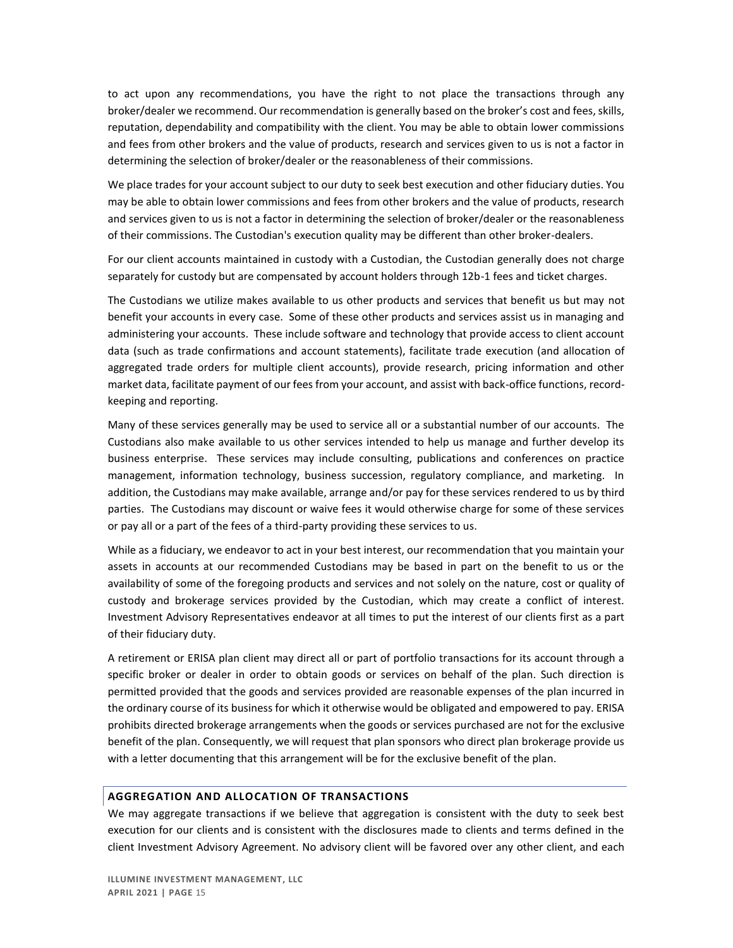to act upon any recommendations, you have the right to not place the transactions through any broker/dealer we recommend. Our recommendation is generally based on the broker's cost and fees, skills, reputation, dependability and compatibility with the client. You may be able to obtain lower commissions and fees from other brokers and the value of products, research and services given to us is not a factor in determining the selection of broker/dealer or the reasonableness of their commissions.

We place trades for your account subject to our duty to seek best execution and other fiduciary duties. You may be able to obtain lower commissions and fees from other brokers and the value of products, research and services given to us is not a factor in determining the selection of broker/dealer or the reasonableness of their commissions. The Custodian's execution quality may be different than other broker-dealers.

For our client accounts maintained in custody with a Custodian, the Custodian generally does not charge separately for custody but are compensated by account holders through 12b-1 fees and ticket charges.

The Custodians we utilize makes available to us other products and services that benefit us but may not benefit your accounts in every case. Some of these other products and services assist us in managing and administering your accounts. These include software and technology that provide access to client account data (such as trade confirmations and account statements), facilitate trade execution (and allocation of aggregated trade orders for multiple client accounts), provide research, pricing information and other market data, facilitate payment of our fees from your account, and assist with back-office functions, recordkeeping and reporting.

Many of these services generally may be used to service all or a substantial number of our accounts. The Custodians also make available to us other services intended to help us manage and further develop its business enterprise. These services may include consulting, publications and conferences on practice management, information technology, business succession, regulatory compliance, and marketing. In addition, the Custodians may make available, arrange and/or pay for these services rendered to us by third parties. The Custodians may discount or waive fees it would otherwise charge for some of these services or pay all or a part of the fees of a third-party providing these services to us.

While as a fiduciary, we endeavor to act in your best interest, our recommendation that you maintain your assets in accounts at our recommended Custodians may be based in part on the benefit to us or the availability of some of the foregoing products and services and not solely on the nature, cost or quality of custody and brokerage services provided by the Custodian, which may create a conflict of interest. Investment Advisory Representatives endeavor at all times to put the interest of our clients first as a part of their fiduciary duty.

A retirement or ERISA plan client may direct all or part of portfolio transactions for its account through a specific broker or dealer in order to obtain goods or services on behalf of the plan. Such direction is permitted provided that the goods and services provided are reasonable expenses of the plan incurred in the ordinary course of its business for which it otherwise would be obligated and empowered to pay. ERISA prohibits directed brokerage arrangements when the goods or services purchased are not for the exclusive benefit of the plan. Consequently, we will request that plan sponsors who direct plan brokerage provide us with a letter documenting that this arrangement will be for the exclusive benefit of the plan.

## **AGGREGATION AND ALLOCATION OF TRANSACTIONS**

We may aggregate transactions if we believe that aggregation is consistent with the duty to seek best execution for our clients and is consistent with the disclosures made to clients and terms defined in the client Investment Advisory Agreement. No advisory client will be favored over any other client, and each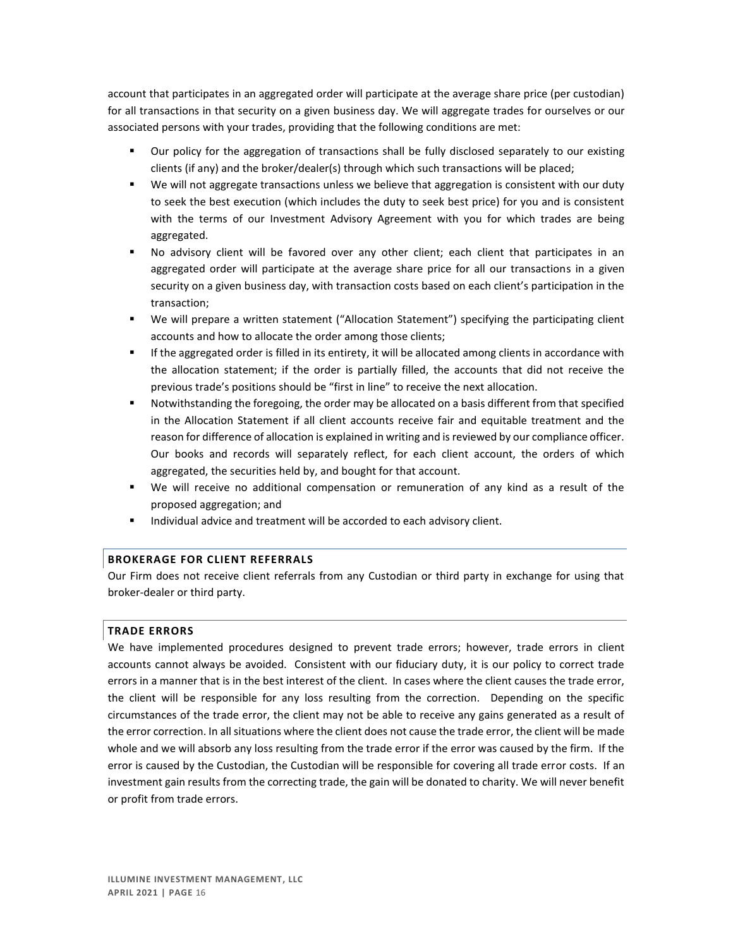account that participates in an aggregated order will participate at the average share price (per custodian) for all transactions in that security on a given business day. We will aggregate trades for ourselves or our associated persons with your trades, providing that the following conditions are met:

- Our policy for the aggregation of transactions shall be fully disclosed separately to our existing clients (if any) and the broker/dealer(s) through which such transactions will be placed;
- We will not aggregate transactions unless we believe that aggregation is consistent with our duty to seek the best execution (which includes the duty to seek best price) for you and is consistent with the terms of our Investment Advisory Agreement with you for which trades are being aggregated.
- No advisory client will be favored over any other client; each client that participates in an aggregated order will participate at the average share price for all our transactions in a given security on a given business day, with transaction costs based on each client's participation in the transaction;
- We will prepare a written statement ("Allocation Statement") specifying the participating client accounts and how to allocate the order among those clients;
- If the aggregated order is filled in its entirety, it will be allocated among clients in accordance with the allocation statement; if the order is partially filled, the accounts that did not receive the previous trade's positions should be "first in line" to receive the next allocation.
- Notwithstanding the foregoing, the order may be allocated on a basis different from that specified in the Allocation Statement if all client accounts receive fair and equitable treatment and the reason for difference of allocation is explained in writing and is reviewed by our compliance officer. Our books and records will separately reflect, for each client account, the orders of which aggregated, the securities held by, and bought for that account.
- We will receive no additional compensation or remuneration of any kind as a result of the proposed aggregation; and
- Individual advice and treatment will be accorded to each advisory client.

### **BROKERAGE FOR CLIENT REFERRALS**

Our Firm does not receive client referrals from any Custodian or third party in exchange for using that broker-dealer or third party.

### **TRADE ERRORS**

We have implemented procedures designed to prevent trade errors; however, trade errors in client accounts cannot always be avoided. Consistent with our fiduciary duty, it is our policy to correct trade errors in a manner that is in the best interest of the client. In cases where the client causes the trade error, the client will be responsible for any loss resulting from the correction. Depending on the specific circumstances of the trade error, the client may not be able to receive any gains generated as a result of the error correction. In all situations where the client does not cause the trade error, the client will be made whole and we will absorb any loss resulting from the trade error if the error was caused by the firm. If the error is caused by the Custodian, the Custodian will be responsible for covering all trade error costs. If an investment gain results from the correcting trade, the gain will be donated to charity. We will never benefit or profit from trade errors.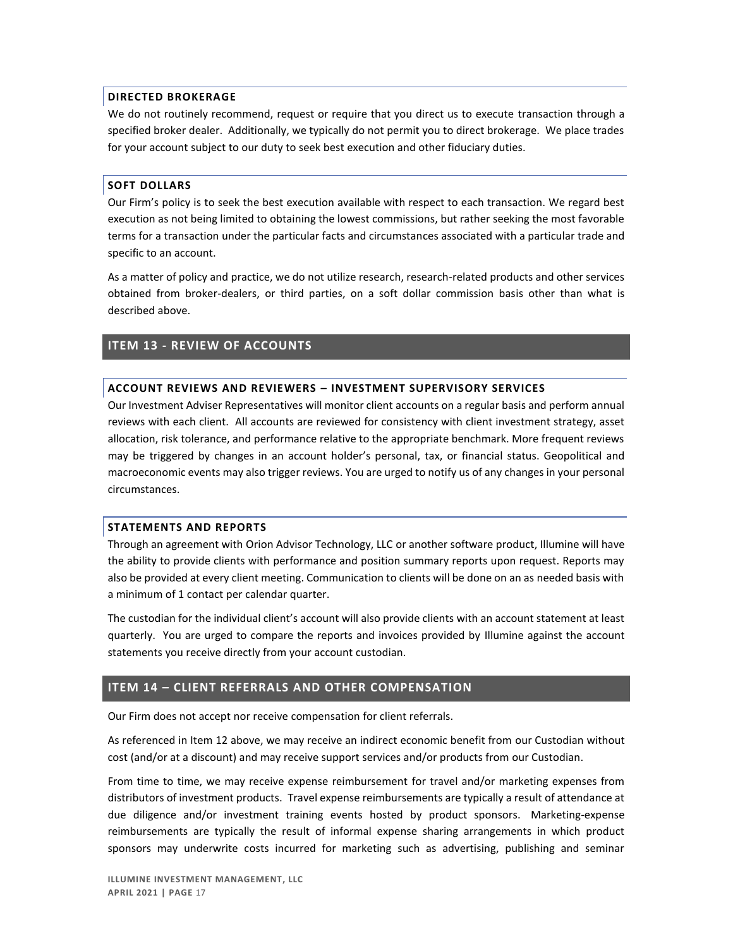### **DIRECTED BROKERAGE**

We do not routinely recommend, request or require that you direct us to execute transaction through a specified broker dealer. Additionally, we typically do not permit you to direct brokerage. We place trades for your account subject to our duty to seek best execution and other fiduciary duties.

### **SOFT DOLLARS**

Our Firm's policy is to seek the best execution available with respect to each transaction. We regard best execution as not being limited to obtaining the lowest commissions, but rather seeking the most favorable terms for a transaction under the particular facts and circumstances associated with a particular trade and specific to an account.

As a matter of policy and practice, we do not utilize research, research-related products and other services obtained from broker-dealers, or third parties, on a soft dollar commission basis other than what is described above.

## <span id="page-17-0"></span>**ITEM 13 - REVIEW OF ACCOUNTS**

### **ACCOUNT REVIEWS AND REVIEWERS – INVESTMENT SUPERVISORY SERVICES**

Our Investment Adviser Representatives will monitor client accounts on a regular basis and perform annual reviews with each client. All accounts are reviewed for consistency with client investment strategy, asset allocation, risk tolerance, and performance relative to the appropriate benchmark. More frequent reviews may be triggered by changes in an account holder's personal, tax, or financial status. Geopolitical and macroeconomic events may also trigger reviews. You are urged to notify us of any changes in your personal circumstances.

#### **STATEMENTS AND REPORTS**

Through an agreement with Orion Advisor Technology, LLC or another software product, Illumine will have the ability to provide clients with performance and position summary reports upon request. Reports may also be provided at every client meeting. Communication to clients will be done on an as needed basis with a minimum of 1 contact per calendar quarter.

The custodian for the individual client's account will also provide clients with an account statement at least quarterly. You are urged to compare the reports and invoices provided by Illumine against the account statements you receive directly from your account custodian.

## <span id="page-17-1"></span>**ITEM 14 – CLIENT REFERRALS AND OTHER COMPENSATION**

Our Firm does not accept nor receive compensation for client referrals.

As referenced in Item 12 above, we may receive an indirect economic benefit from our Custodian without cost (and/or at a discount) and may receive support services and/or products from our Custodian.

From time to time, we may receive expense reimbursement for travel and/or marketing expenses from distributors of investment products. Travel expense reimbursements are typically a result of attendance at due diligence and/or investment training events hosted by product sponsors. Marketing-expense reimbursements are typically the result of informal expense sharing arrangements in which product sponsors may underwrite costs incurred for marketing such as advertising, publishing and seminar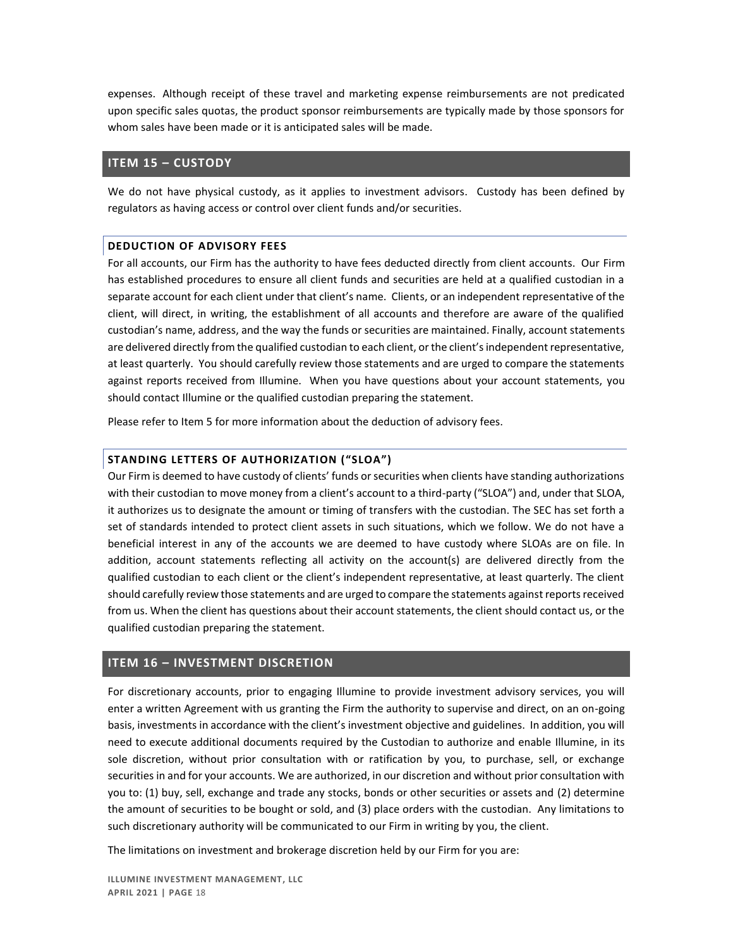expenses. Although receipt of these travel and marketing expense reimbursements are not predicated upon specific sales quotas, the product sponsor reimbursements are typically made by those sponsors for whom sales have been made or it is anticipated sales will be made.

### <span id="page-18-0"></span>**ITEM 15 – CUSTODY**

We do not have physical custody, as it applies to investment advisors. Custody has been defined by regulators as having access or control over client funds and/or securities.

### **DEDUCTION OF ADVISORY FEES**

For all accounts, our Firm has the authority to have fees deducted directly from client accounts. Our Firm has established procedures to ensure all client funds and securities are held at a qualified custodian in a separate account for each client under that client's name. Clients, or an independent representative of the client, will direct, in writing, the establishment of all accounts and therefore are aware of the qualified custodian's name, address, and the way the funds or securities are maintained. Finally, account statements are delivered directly from the qualified custodian to each client, or the client's independent representative, at least quarterly. You should carefully review those statements and are urged to compare the statements against reports received from Illumine. When you have questions about your account statements, you should contact Illumine or the qualified custodian preparing the statement.

Please refer to Item 5 for more information about the deduction of advisory fees.

### **STANDING LETTERS OF AUTHORIZATION ("SLOA")**

Our Firm is deemed to have custody of clients' funds or securities when clients have standing authorizations with their custodian to move money from a client's account to a third-party ("SLOA") and, under that SLOA, it authorizes us to designate the amount or timing of transfers with the custodian. The SEC has set forth a set of standards intended to protect client assets in such situations, which we follow. We do not have a beneficial interest in any of the accounts we are deemed to have custody where SLOAs are on file. In addition, account statements reflecting all activity on the account(s) are delivered directly from the qualified custodian to each client or the client's independent representative, at least quarterly. The client should carefully review those statements and are urged to compare the statements against reports received from us. When the client has questions about their account statements, the client should contact us, or the qualified custodian preparing the statement.

### <span id="page-18-1"></span>**ITEM 16 – INVESTMENT DISCRETION**

For discretionary accounts, prior to engaging Illumine to provide investment advisory services, you will enter a written Agreement with us granting the Firm the authority to supervise and direct, on an on-going basis, investments in accordance with the client's investment objective and guidelines. In addition, you will need to execute additional documents required by the Custodian to authorize and enable Illumine, in its sole discretion, without prior consultation with or ratification by you, to purchase, sell, or exchange securities in and for your accounts. We are authorized, in our discretion and without prior consultation with you to: (1) buy, sell, exchange and trade any stocks, bonds or other securities or assets and (2) determine the amount of securities to be bought or sold, and (3) place orders with the custodian. Any limitations to such discretionary authority will be communicated to our Firm in writing by you, the client.

The limitations on investment and brokerage discretion held by our Firm for you are: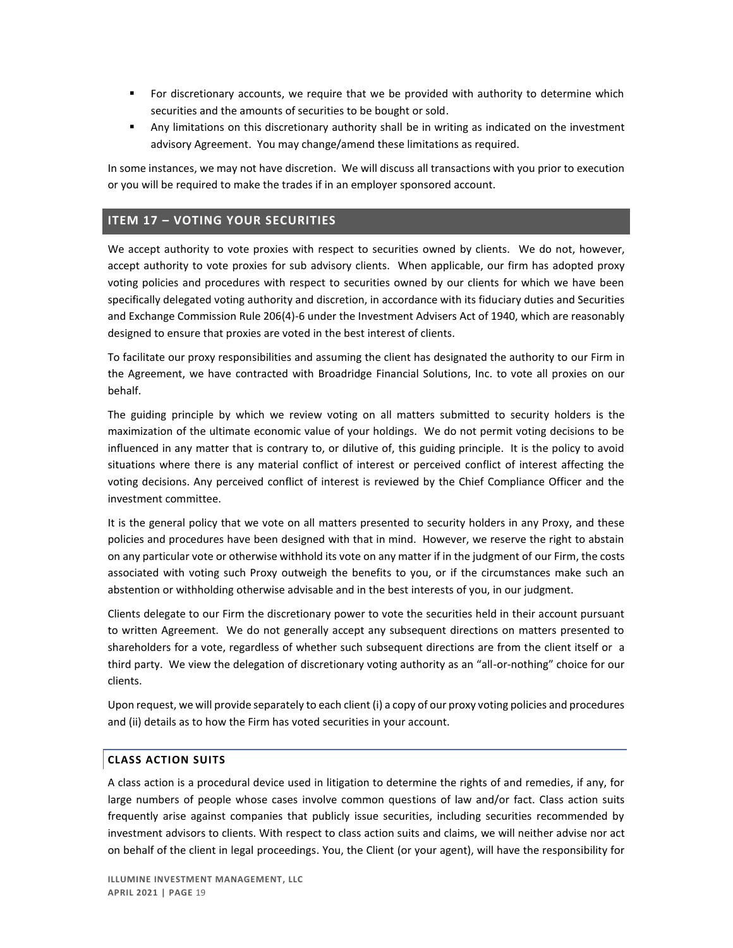- **•** For discretionary accounts, we require that we be provided with authority to determine which securities and the amounts of securities to be bought or sold.
- Any limitations on this discretionary authority shall be in writing as indicated on the investment advisory Agreement. You may change/amend these limitations as required.

In some instances, we may not have discretion. We will discuss all transactions with you prior to execution or you will be required to make the trades if in an employer sponsored account.

# <span id="page-19-0"></span>**ITEM 17 – VOTING YOUR SECURITIES**

We accept authority to vote proxies with respect to securities owned by clients. We do not, however, accept authority to vote proxies for sub advisory clients. When applicable, our firm has adopted proxy voting policies and procedures with respect to securities owned by our clients for which we have been specifically delegated voting authority and discretion, in accordance with its fiduciary duties and Securities and Exchange Commission Rule 206(4)-6 under the Investment Advisers Act of 1940, which are reasonably designed to ensure that proxies are voted in the best interest of clients.

To facilitate our proxy responsibilities and assuming the client has designated the authority to our Firm in the Agreement, we have contracted with Broadridge Financial Solutions, Inc. to vote all proxies on our behalf.

The guiding principle by which we review voting on all matters submitted to security holders is the maximization of the ultimate economic value of your holdings. We do not permit voting decisions to be influenced in any matter that is contrary to, or dilutive of, this guiding principle. It is the policy to avoid situations where there is any material conflict of interest or perceived conflict of interest affecting the voting decisions. Any perceived conflict of interest is reviewed by the Chief Compliance Officer and the investment committee.

It is the general policy that we vote on all matters presented to security holders in any Proxy, and these policies and procedures have been designed with that in mind. However, we reserve the right to abstain on any particular vote or otherwise withhold its vote on any matter if in the judgment of our Firm, the costs associated with voting such Proxy outweigh the benefits to you, or if the circumstances make such an abstention or withholding otherwise advisable and in the best interests of you, in our judgment.

Clients delegate to our Firm the discretionary power to vote the securities held in their account pursuant to written Agreement. We do not generally accept any subsequent directions on matters presented to shareholders for a vote, regardless of whether such subsequent directions are from the client itself or a third party. We view the delegation of discretionary voting authority as an "all-or-nothing" choice for our clients.

Upon request, we will provide separately to each client (i) a copy of our proxy voting policies and procedures and (ii) details as to how the Firm has voted securities in your account.

### **CLASS ACTION SUITS**

A class action is a procedural device used in litigation to determine the rights of and remedies, if any, for large numbers of people whose cases involve common questions of law and/or fact. Class action suits frequently arise against companies that publicly issue securities, including securities recommended by investment advisors to clients. With respect to class action suits and claims, we will neither advise nor act on behalf of the client in legal proceedings. You, the Client (or your agent), will have the responsibility for